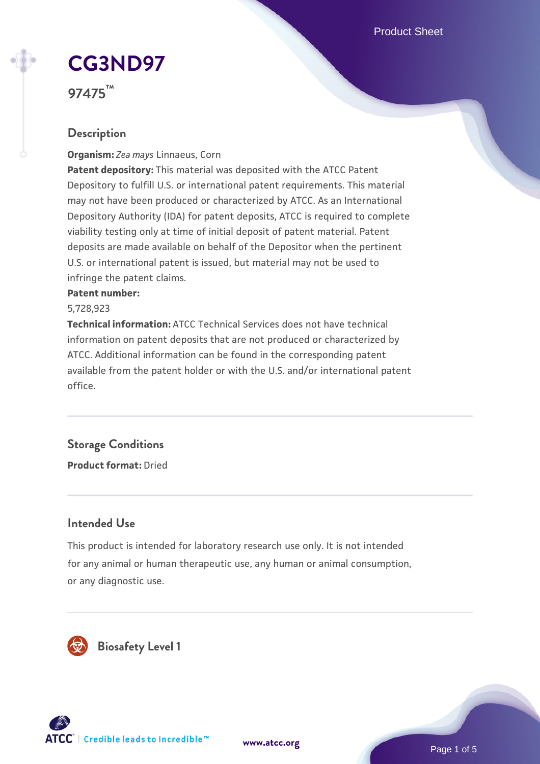Product Sheet

# **[CG3ND97](https://www.atcc.org/products/97475)**

**97475™**

### **Description**

**Organism:** *Zea mays* Linnaeus, Corn

**Patent depository:** This material was deposited with the ATCC Patent Depository to fulfill U.S. or international patent requirements. This material may not have been produced or characterized by ATCC. As an International Depository Authority (IDA) for patent deposits, ATCC is required to complete viability testing only at time of initial deposit of patent material. Patent deposits are made available on behalf of the Depositor when the pertinent U.S. or international patent is issued, but material may not be used to infringe the patent claims.

#### **Patent number:**

5,728,923

**Technical information:** ATCC Technical Services does not have technical information on patent deposits that are not produced or characterized by ATCC. Additional information can be found in the corresponding patent available from the patent holder or with the U.S. and/or international patent office.

## **Storage Conditions**

**Product format:** Dried

### **Intended Use**

This product is intended for laboratory research use only. It is not intended for any animal or human therapeutic use, any human or animal consumption, or any diagnostic use.





Page 1 of 5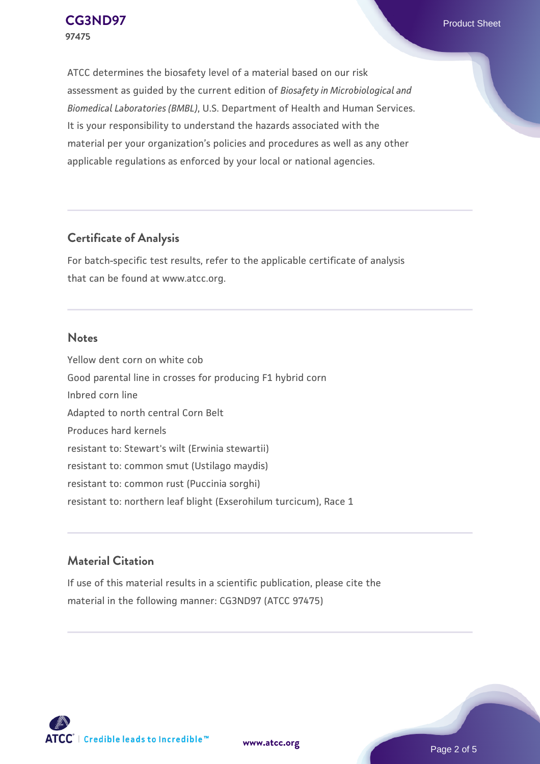ATCC determines the biosafety level of a material based on our risk assessment as guided by the current edition of *Biosafety in Microbiological and Biomedical Laboratories (BMBL)*, U.S. Department of Health and Human Services. It is your responsibility to understand the hazards associated with the material per your organization's policies and procedures as well as any other applicable regulations as enforced by your local or national agencies.

### **Certificate of Analysis**

For batch-specific test results, refer to the applicable certificate of analysis that can be found at www.atcc.org.

#### **Notes**

Yellow dent corn on white cob Good parental line in crosses for producing F1 hybrid corn Inbred corn line Adapted to north central Corn Belt Produces hard kernels resistant to: Stewart's wilt (Erwinia stewartii) resistant to: common smut (Ustilago maydis) resistant to: common rust (Puccinia sorghi) resistant to: northern leaf blight (Exserohilum turcicum), Race 1

### **Material Citation**

If use of this material results in a scientific publication, please cite the material in the following manner: CG3ND97 (ATCC 97475)



**[www.atcc.org](http://www.atcc.org)**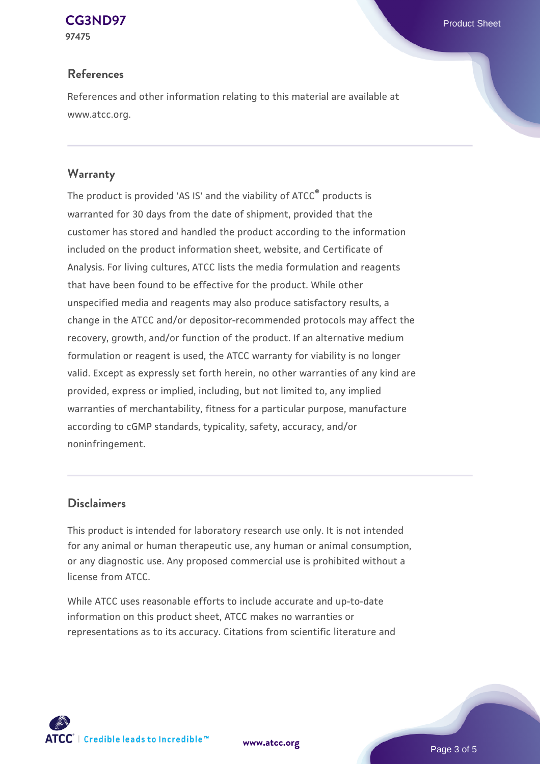### **[CG3ND97](https://www.atcc.org/products/97475)** Product Sheet

**97475**

### **References**

References and other information relating to this material are available at www.atcc.org.

### **Warranty**

The product is provided 'AS IS' and the viability of ATCC® products is warranted for 30 days from the date of shipment, provided that the customer has stored and handled the product according to the information included on the product information sheet, website, and Certificate of Analysis. For living cultures, ATCC lists the media formulation and reagents that have been found to be effective for the product. While other unspecified media and reagents may also produce satisfactory results, a change in the ATCC and/or depositor-recommended protocols may affect the recovery, growth, and/or function of the product. If an alternative medium formulation or reagent is used, the ATCC warranty for viability is no longer valid. Except as expressly set forth herein, no other warranties of any kind are provided, express or implied, including, but not limited to, any implied warranties of merchantability, fitness for a particular purpose, manufacture according to cGMP standards, typicality, safety, accuracy, and/or noninfringement.

### **Disclaimers**

This product is intended for laboratory research use only. It is not intended for any animal or human therapeutic use, any human or animal consumption, or any diagnostic use. Any proposed commercial use is prohibited without a license from ATCC.

While ATCC uses reasonable efforts to include accurate and up-to-date information on this product sheet, ATCC makes no warranties or representations as to its accuracy. Citations from scientific literature and



**[www.atcc.org](http://www.atcc.org)**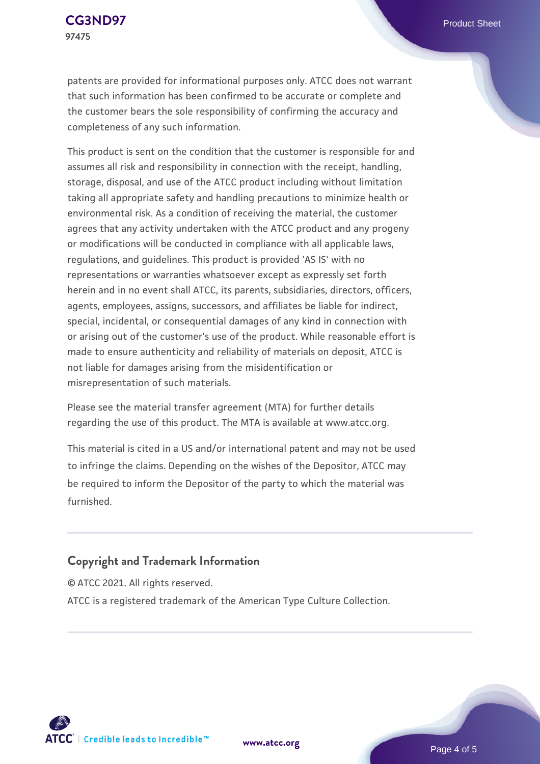patents are provided for informational purposes only. ATCC does not warrant that such information has been confirmed to be accurate or complete and the customer bears the sole responsibility of confirming the accuracy and completeness of any such information.

This product is sent on the condition that the customer is responsible for and assumes all risk and responsibility in connection with the receipt, handling, storage, disposal, and use of the ATCC product including without limitation taking all appropriate safety and handling precautions to minimize health or environmental risk. As a condition of receiving the material, the customer agrees that any activity undertaken with the ATCC product and any progeny or modifications will be conducted in compliance with all applicable laws, regulations, and guidelines. This product is provided 'AS IS' with no representations or warranties whatsoever except as expressly set forth herein and in no event shall ATCC, its parents, subsidiaries, directors, officers, agents, employees, assigns, successors, and affiliates be liable for indirect, special, incidental, or consequential damages of any kind in connection with or arising out of the customer's use of the product. While reasonable effort is made to ensure authenticity and reliability of materials on deposit, ATCC is not liable for damages arising from the misidentification or misrepresentation of such materials.

Please see the material transfer agreement (MTA) for further details regarding the use of this product. The MTA is available at www.atcc.org.

This material is cited in a US and/or international patent and may not be used to infringe the claims. Depending on the wishes of the Depositor, ATCC may be required to inform the Depositor of the party to which the material was furnished.

### **Copyright and Trademark Information**

© ATCC 2021. All rights reserved. ATCC is a registered trademark of the American Type Culture Collection.